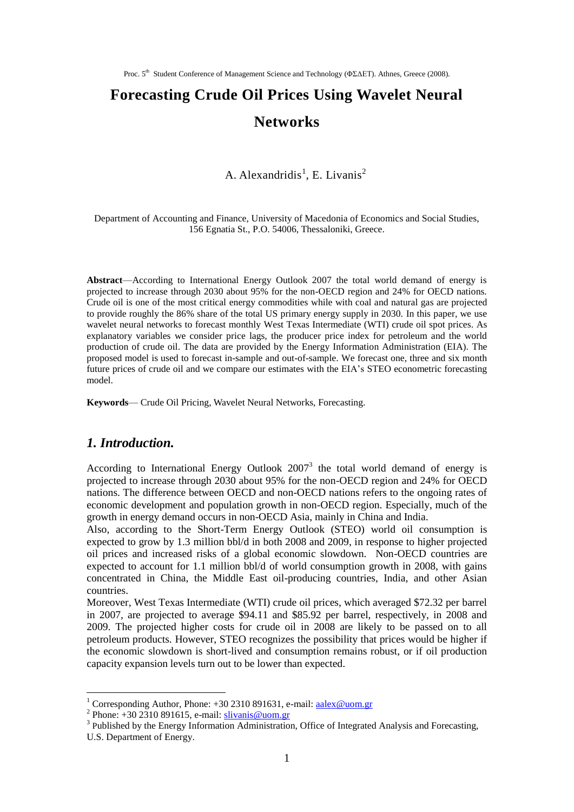# **Forecasting Crude Oil Prices Using Wavelet Neural Networks**

A. Alexandridis<sup>1</sup>, E. Livanis<sup>2</sup>

Department of Accounting and Finance, University of Macedonia of Economics and Social Studies, 156 Egnatia St., P.O. 54006, Thessaloniki, Greece.

**Abstract**—According to International Energy Outlook 2007 the total world demand of energy is projected to increase through 2030 about 95% for the non-OECD region and 24% for OECD nations. Crude oil is one of the most critical energy commodities while with coal and natural gas are projected to provide roughly the 86% share of the total US primary energy supply in 2030. In this paper, we use wavelet neural networks to forecast monthly West Texas Intermediate (WTI) crude oil spot prices. As explanatory variables we consider price lags, the producer price index for petroleum and the world production of crude oil. The data are provided by the Energy Information Administration (EIA). The proposed model is used to forecast in-sample and out-of-sample. We forecast one, three and six month future prices of crude oil and we compare our estimates with the EIA's STEO econometric forecasting model.

**Keywords**— Crude Oil Pricing, Wavelet Neural Networks, Forecasting.

## *1. Introduction.*

According to International Energy Outlook  $2007<sup>3</sup>$  the total world demand of energy is projected to increase through 2030 about 95% for the non-OECD region and 24% for OECD nations. The difference between OECD and non-OECD nations refers to the ongoing rates of economic development and population growth in non-OECD region. Especially, much of the growth in energy demand occurs in non-OECD Asia, mainly in China and India.

Also, according to the Short-Term Energy Outlook (STEO) world oil consumption is expected to grow by 1.3 million bbl/d in both 2008 and 2009, in response to higher projected oil prices and increased risks of a global economic slowdown. Non-OECD countries are expected to account for 1.1 million bbl/d of world consumption growth in 2008, with gains concentrated in China, the Middle East oil-producing countries, India, and other Asian countries.

Moreover, West Texas Intermediate (WTI) crude oil prices, which averaged \$72.32 per barrel in 2007, are projected to average \$94.11 and \$85.92 per barrel, respectively, in 2008 and 2009. The projected higher costs for crude oil in 2008 are likely to be passed on to all petroleum products. However, STEO recognizes the possibility that prices would be higher if the economic slowdown is short-lived and consumption remains robust, or if oil production capacity expansion levels turn out to be lower than expected.

1

<sup>&</sup>lt;sup>1</sup> Corresponding Author, Phone:  $+30\,2310\,891631$ , e-mail: [aalex@uom.gr](mailto:aalex@uom.gr)

<sup>&</sup>lt;sup>2</sup> Phone:  $+30$  2310 891615, e-mail: [slivanis@uom.gr](mailto:slivanis@uom.gr)

<sup>&</sup>lt;sup>3</sup> Published by the Energy Information Administration, Office of Integrated Analysis and Forecasting,

U.S. Department of Energy.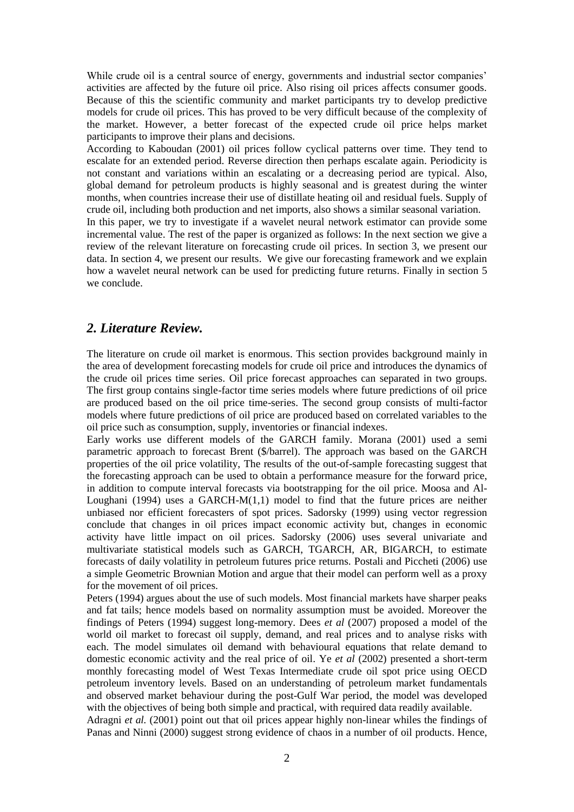While crude oil is a central source of energy, governments and industrial sector companies' activities are affected by the future oil price. Also rising oil prices affects consumer goods. Because of this the scientific community and market participants try to develop predictive models for crude oil prices. This has proved to be very difficult because of the complexity of the market. However, a better forecast of the expected crude oil price helps market participants to improve their plans and decisions.

According to Kaboudan (2001) oil prices follow cyclical patterns over time. They tend to escalate for an extended period. Reverse direction then perhaps escalate again. Periodicity is not constant and variations within an escalating or a decreasing period are typical. Also, global demand for petroleum products is highly seasonal and is greatest during the winter months, when countries increase their use of distillate heating oil and residual fuels. Supply of crude oil, including both production and net imports, also shows a similar seasonal variation.

In this paper, we try to investigate if a wavelet neural network estimator can provide some incremental value. The rest of the paper is organized as follows: In the next section we give a review of the relevant literature on forecasting crude oil prices. In section 3, we present our data. In section 4, we present our results. We give our forecasting framework and we explain how a wavelet neural network can be used for predicting future returns. Finally in section 5 we conclude.

#### *2. Literature Review.*

The literature on crude oil market is enormous. This section provides background mainly in the area of development forecasting models for crude oil price and introduces the dynamics of the crude oil prices time series. Oil price forecast approaches can separated in two groups. The first group contains single-factor time series models where future predictions of oil price are produced based on the oil price time-series. The second group consists of multi-factor models where future predictions of oil price are produced based on correlated variables to the oil price such as consumption, supply, inventories or financial indexes.

Early works use different models of the GARCH family. Morana (2001) used a semi parametric approach to forecast Brent (\$/barrel). The approach was based on the GARCH properties of the oil price volatility, The results of the out-of-sample forecasting suggest that the forecasting approach can be used to obtain a performance measure for the forward price, in addition to compute interval forecasts via bootstrapping for the oil price. Moosa and Al-Loughani (1994) uses a GARCH- $M(1,1)$  model to find that the future prices are neither unbiased nor efficient forecasters of spot prices. Sadorsky (1999) using vector regression conclude that changes in oil prices impact economic activity but, changes in economic activity have little impact on oil prices. Sadorsky (2006) uses several univariate and multivariate statistical models such as GARCH, TGARCH, AR, BIGARCH, to estimate forecasts of daily volatility in petroleum futures price returns. Postali and Piccheti (2006) use a simple Geometric Brownian Motion and argue that their model can perform well as a proxy for the movement of oil prices.

Peters (1994) argues about the use of such models. Most financial markets have sharper peaks and fat tails; hence models based on normality assumption must be avoided. Moreover the findings of Peters (1994) suggest long-memory. Dees *et al* (2007) proposed a model of the world oil market to forecast oil supply, demand, and real prices and to analyse risks with each. The model simulates oil demand with behavioural equations that relate demand to domestic economic activity and the real price of oil. Ye *et al* (2002) presented a short-term monthly forecasting model of West Texas Intermediate crude oil spot price using OECD petroleum inventory levels. Based on an understanding of petroleum market fundamentals and observed market behaviour during the post-Gulf War period, the model was developed with the objectives of being both simple and practical, with required data readily available.

Adragni *et al.* (2001) point out that oil prices appear highly non-linear whiles the findings of Panas and Ninni (2000) suggest strong evidence of chaos in a number of oil products. Hence,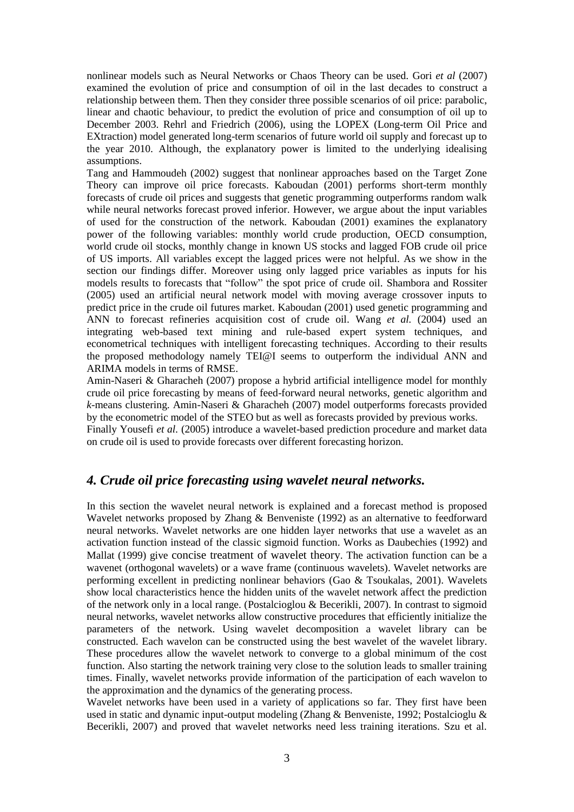nonlinear models such as Neural Networks or Chaos Theory can be used. Gori *et al* (2007) examined the evolution of price and consumption of oil in the last decades to construct a relationship between them. Then they consider three possible scenarios of oil price: parabolic, linear and chaotic behaviour, to predict the evolution of price and consumption of oil up to December 2003. Rehrl and Friedrich (2006), using the LOPEX (Long-term Oil Price and EXtraction) model generated long-term scenarios of future world oil supply and forecast up to the year 2010. Although, the explanatory power is limited to the underlying idealising assumptions.

Tang and Hammoudeh (2002) suggest that nonlinear approaches based on the Target Zone Theory can improve oil price forecasts. Kaboudan (2001) performs short-term monthly forecasts of crude oil prices and suggests that genetic programming outperforms random walk while neural networks forecast proved inferior. However, we argue about the input variables of used for the construction of the network. Kaboudan (2001) examines the explanatory power of the following variables: monthly world crude production, OECD consumption, world crude oil stocks, monthly change in known US stocks and lagged FOB crude oil price of US imports. All variables except the lagged prices were not helpful. As we show in the section our findings differ. Moreover using only lagged price variables as inputs for his models results to forecasts that "follow" the spot price of crude oil. Shambora and Rossiter (2005) used an artificial neural network model with moving average crossover inputs to predict price in the crude oil futures market. Kaboudan (2001) used genetic programming and ANN to forecast refineries acquisition cost of crude oil. Wang *et al.* (2004) used an integrating web-based text mining and rule-based expert system techniques, and econometrical techniques with intelligent forecasting techniques. According to their results the proposed methodology namely TEI@I seems to outperform the individual ANN and ARIMA models in terms of RMSE.

Amin-Naseri & Gharacheh (2007) propose a hybrid artificial intelligence model for monthly crude oil price forecasting by means of feed-forward neural networks, genetic algorithm and *k*-means clustering. Amin-Naseri & Gharacheh (2007) model outperforms forecasts provided by the econometric model of the STEO but as well as forecasts provided by previous works.

Finally Yousefi *et al.* (2005) introduce a wavelet-based prediction procedure and market data on crude oil is used to provide forecasts over different forecasting horizon.

## *4. Crude oil price forecasting using wavelet neural networks.*

In this section the wavelet neural network is explained and a forecast method is proposed Wavelet networks proposed by Zhang & Benveniste (1992) as an alternative to feedforward neural networks. Wavelet networks are one hidden layer networks that use a wavelet as an activation function instead of the classic sigmoid function. Works as Daubechies (1992) and Mallat (1999) give concise treatment of wavelet theory. The activation function can be a wavenet (orthogonal wavelets) or a wave frame (continuous wavelets). Wavelet networks are performing excellent in predicting nonlinear behaviors (Gao & Tsoukalas, 2001). Wavelets show local characteristics hence the hidden units of the wavelet network affect the prediction of the network only in a local range. (Postalcioglou & Becerikli, 2007). In contrast to sigmoid neural networks, wavelet networks allow constructive procedures that efficiently initialize the parameters of the network. Using wavelet decomposition a wavelet library can be constructed. Each wavelon can be constructed using the best wavelet of the wavelet library. These procedures allow the wavelet network to converge to a global minimum of the cost function. Also starting the network training very close to the solution leads to smaller training times. Finally, wavelet networks provide information of the participation of each wavelon to the approximation and the dynamics of the generating process.

Wavelet networks have been used in a variety of applications so far. They first have been used in static and dynamic input-output modeling (Zhang & Benveniste, 1992; Postalcioglu & Becerikli, 2007) and proved that wavelet networks need less training iterations. Szu et al.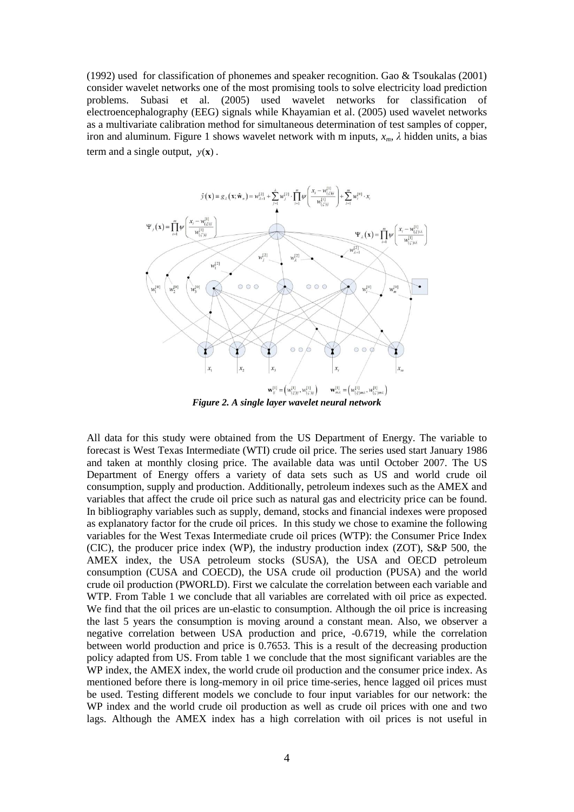(1992) used for classification of phonemes and speaker recognition. Gao & Tsoukalas (2001) consider wavelet networks one of the most promising tools to solve electricity load prediction problems. Subasi et al. (2005) used wavelet networks for classification of electroencephalography (EEG) signals while Khayamian et al. (2005) used wavelet networks as a multivariate calibration method for simultaneous determination of test samples of copper, iron and aluminum. Figure 1 shows wavelet network with m inputs, *xm*, *λ* hidden units, a bias term and a single output,  $y(x)$ .



*Figure 2. A single layer wavelet neural network*

All data for this study were obtained from the US Department of Energy. The variable to forecast is West Texas Intermediate (WTI) crude oil price. The series used start January 1986 and taken at monthly closing price. The available data was until October 2007. The US Department of Energy offers a variety of data sets such as US and world crude oil consumption, supply and production. Additionally, petroleum indexes such as the AMEX and variables that affect the crude oil price such as natural gas and electricity price can be found. In bibliography variables such as supply, demand, stocks and financial indexes were proposed as explanatory factor for the crude oil prices. In this study we chose to examine the following variables for the West Texas Intermediate crude oil prices (WTP): the Consumer Price Index (CIC), the producer price index (WP), the industry production index (ZOT), S&P 500, the AMEX index, the USA petroleum stocks (SUSA), the USA and OECD petroleum consumption (CUSA and COECD), the USA crude oil production (PUSA) and the world crude oil production (PWORLD). First we calculate the correlation between each variable and WTP. From Table 1 we conclude that all variables are correlated with oil price as expected. We find that the oil prices are un-elastic to consumption. Although the oil price is increasing the last 5 years the consumption is moving around a constant mean. Also, we observer a negative correlation between USA production and price, -0.6719, while the correlation between world production and price is 0.7653. This is a result of the decreasing production policy adapted from US. From table 1 we conclude that the most significant variables are the WP index, the AMEX index, the world crude oil production and the consumer price index. As mentioned before there is long-memory in oil price time-series, hence lagged oil prices must be used. Testing different models we conclude to four input variables for our network: the WP index and the world crude oil production as well as crude oil prices with one and two lags. Although the AMEX index has a high correlation with oil prices is not useful in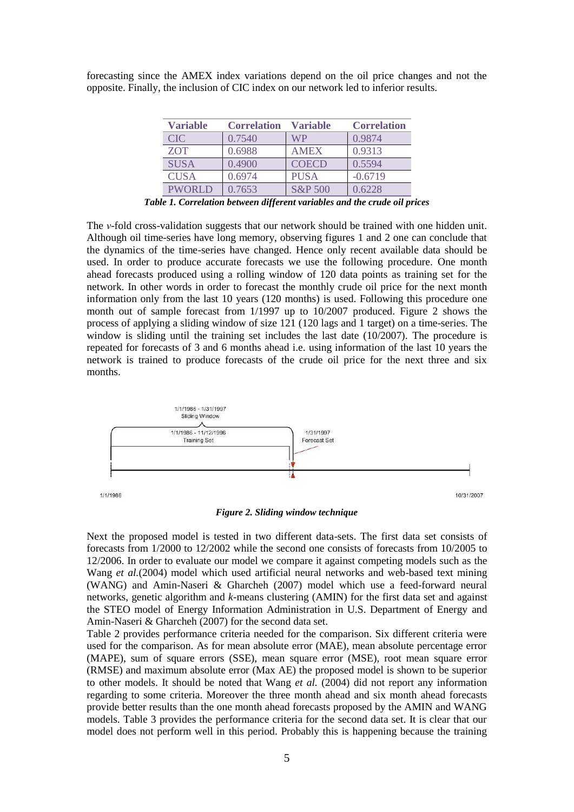forecasting since the AMEX index variations depend on the oil price changes and not the opposite. Finally, the inclusion of CIC index on our network led to inferior results.

| <b>Variable</b> | <b>Correlation</b> | <b>Variable</b> | <b>Correlation</b> |
|-----------------|--------------------|-----------------|--------------------|
| <b>CIC</b>      | 0.7540             | WP              | 0.9874             |
| <b>ZOT</b>      | 0.6988             | <b>AMEX</b>     | 0.9313             |
| <b>SUSA</b>     | 0.4900             | <b>COECD</b>    | 0.5594             |
| <b>CUSA</b>     | 0.6974             | <b>PUSA</b>     | $-0.6719$          |
| <b>PWORLD</b>   | 0.7653             | S&P 500         | 0.6228             |

*Table 1. Correlation between different variables and the crude oil prices*

The *ν*-fold cross-validation suggests that our network should be trained with one hidden unit. Although oil time-series have long memory, observing figures 1 and 2 one can conclude that the dynamics of the time-series have changed. Hence only recent available data should be used. In order to produce accurate forecasts we use the following procedure. Οne month ahead forecasts produced using a rolling window of 120 data points as training set for the network. In other words in order to forecast the monthly crude oil price for the next month information only from the last 10 years (120 months) is used. Following this procedure one month out of sample forecast from 1/1997 up to 10/2007 produced. Figure 2 shows the process of applying a sliding window of size 121 (120 lags and 1 target) on a time-series. The window is sliding until the training set includes the last date  $(10/2007)$ . The procedure is repeated for forecasts of 3 and 6 months ahead i.e. using information of the last 10 years the network is trained to produce forecasts of the crude oil price for the next three and six months.



*Figure 2. Sliding window technique*

Next the proposed model is tested in two different data-sets. The first data set consists of forecasts from 1/2000 to 12/2002 while the second one consists of forecasts from 10/2005 to 12/2006. In order to evaluate our model we compare it against competing models such as the Wang *et al.*(2004) model which used artificial neural networks and web-based text mining (WANG) and Amin-Naseri & Gharcheh (2007) model which use a feed-forward neural networks, genetic algorithm and *k*-means clustering (AMIN) for the first data set and against the STEO model of Energy Information Administration in U.S. Department of Energy and Amin-Naseri & Gharcheh (2007) for the second data set.

Table 2 provides performance criteria needed for the comparison. Six different criteria were used for the comparison. As for mean absolute error (MAE), mean absolute percentage error (MAPE), sum of square errors (SSE), mean square error (MSE), root mean square error (RMSE) and maximum absolute error (Max AE) the proposed model is shown to be superior to other models. It should be noted that Wang *et al.* (2004) did not report any information regarding to some criteria. Moreover the three month ahead and six month ahead forecasts provide better results than the one month ahead forecasts proposed by the AMIN and WANG models. Table 3 provides the performance criteria for the second data set. It is clear that our model does not perform well in this period. Probably this is happening because the training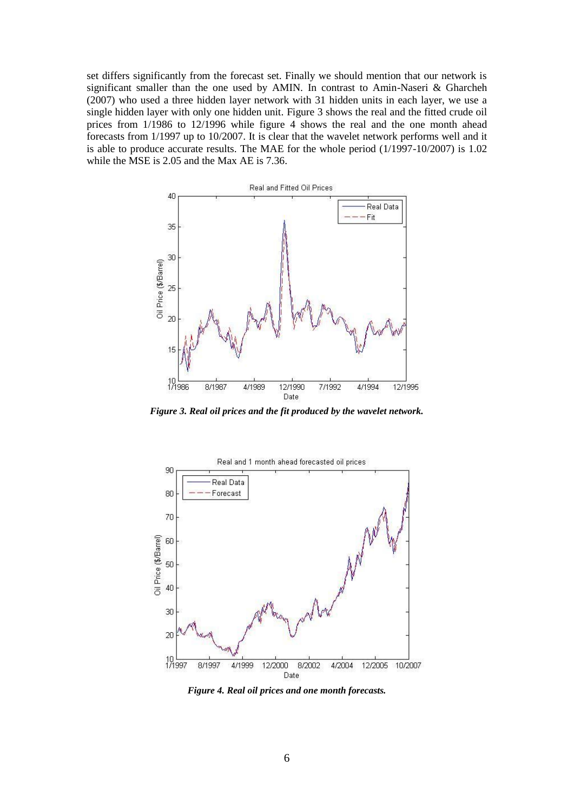set differs significantly from the forecast set. Finally we should mention that our network is significant smaller than the one used by AMIN. In contrast to Amin-Naseri & Gharcheh (2007) who used a three hidden layer network with 31 hidden units in each layer, we use a single hidden layer with only one hidden unit. Figure 3 shows the real and the fitted crude oil prices from 1/1986 to 12/1996 while figure 4 shows the real and the one month ahead forecasts from 1/1997 up to 10/2007. It is clear that the wavelet network performs well and it is able to produce accurate results. The MAE for the whole period (1/1997-10/2007) is 1.02 while the MSE is 2.05 and the Max AE is 7.36.



*Figure 3. Real oil prices and the fit produced by the wavelet network.*



*Figure 4. Real oil prices and one month forecasts.*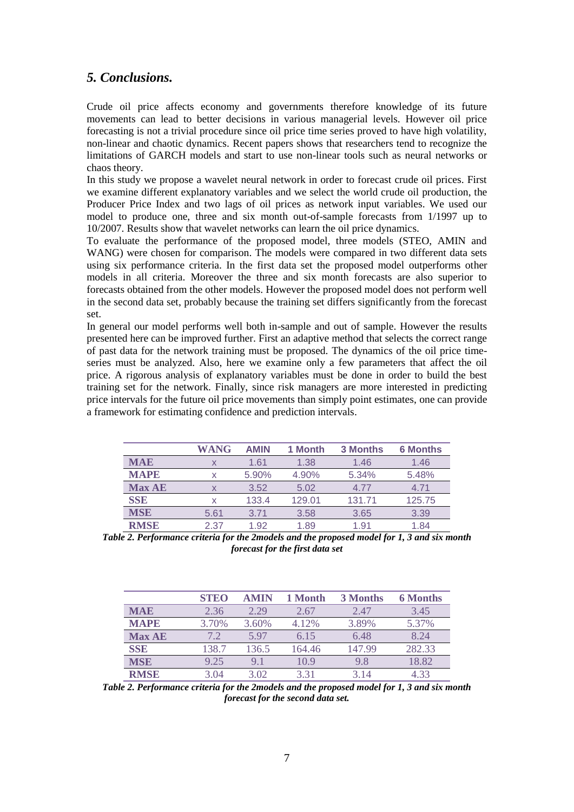# *5. Conclusions.*

Crude oil price affects economy and governments therefore knowledge of its future movements can lead to better decisions in various managerial levels. However oil price forecasting is not a trivial procedure since oil price time series proved to have high volatility, non-linear and chaotic dynamics. Recent papers shows that researchers tend to recognize the limitations of GARCH models and start to use non-linear tools such as neural networks or chaos theory.

In this study we propose a wavelet neural network in order to forecast crude oil prices. First we examine different explanatory variables and we select the world crude oil production, the Producer Price Index and two lags of oil prices as network input variables. We used our model to produce one, three and six month out-of-sample forecasts from 1/1997 up to 10/2007. Results show that wavelet networks can learn the oil price dynamics.

To evaluate the performance of the proposed model, three models (STEO, AMIN and WANG) were chosen for comparison. The models were compared in two different data sets using six performance criteria. In the first data set the proposed model outperforms other models in all criteria. Moreover the three and six month forecasts are also superior to forecasts obtained from the other models. However the proposed model does not perform well in the second data set, probably because the training set differs significantly from the forecast set.

In general our model performs well both in-sample and out of sample. However the results presented here can be improved further. First an adaptive method that selects the correct range of past data for the network training must be proposed. The dynamics of the oil price timeseries must be analyzed. Also, here we examine only a few parameters that affect the oil price. A rigorous analysis of explanatory variables must be done in order to build the best training set for the network. Finally, since risk managers are more interested in predicting price intervals for the future oil price movements than simply point estimates, one can provide a framework for estimating confidence and prediction intervals.

|               | WANG | <b>AMIN</b> | 1 Month | <b>3 Months</b> | <b>6 Months</b> |
|---------------|------|-------------|---------|-----------------|-----------------|
| <b>MAE</b>    |      | 1.61        | 1.38    | 1.46            | 1.46            |
| <b>MAPE</b>   | x    | 5.90%       | 4.90%   | 5.34%           | 5.48%           |
| <b>Max AE</b> | X    | 3.52        | 5.02    | 4.77            | 4.71            |
| <b>SSE</b>    | x    | 133.4       | 129.01  | 131.71          | 125.75          |
| <b>MSE</b>    | 5.61 | 3.71        | 3.58    | 3.65            | 3.39            |
| <b>RMSE</b>   | 2.37 | 1.92        | 1.89    | 1.91            | 1.84            |

*Table 2. Performance criteria for the 2models and the proposed model for 1, 3 and six month forecast for the first data set*

|               | <b>STEO</b> | <b>AMIN</b> | 1 Month | 3 Months | <b>6 Months</b> |
|---------------|-------------|-------------|---------|----------|-----------------|
| <b>MAE</b>    | 2.36        | 2.29        | 2.67    | 2.47     | 3.45            |
| <b>MAPE</b>   | 3.70%       | 3.60%       | 4.12%   | 3.89%    | 5.37%           |
| <b>Max AE</b> | 7.2         | 5.97        | 6.15    | 6.48     | 8.24            |
| <b>SSE</b>    | 138.7       | 136.5       | 164.46  | 147.99   | 282.33          |
| <b>MSE</b>    | 9.25        | 91          | 10.9    | 98       | 18.82           |
| <b>RMSE</b>   | 3 04        | 3.02        | 3.31    | 3 14     | 4 33            |

*Table 2. Performance criteria for the 2models and the proposed model for 1, 3 and six month forecast for the second data set.*